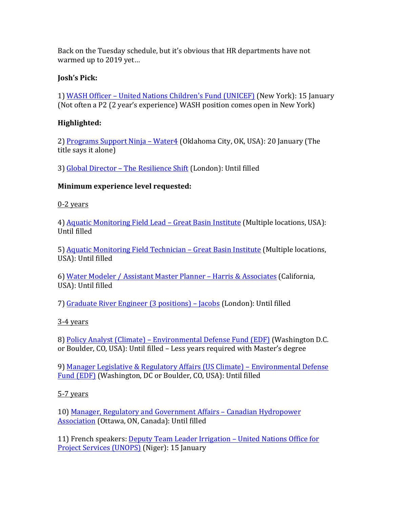Back on the Tuesday schedule, but it's obvious that HR departments have not warmed up to 2019 yet...

#### **Josh's Pick:**

1) WASH Officer – United Nations Children's Fund (UNICEF) (New York): 15 January (Not often a P2 (2 year's experience) WASH position comes open in New York)

#### **Highlighted:**

2) Programs Support Ninja – Water4 (Oklahoma City, OK, USA): 20 January (The title says it alone)

3) Global Director – The Resilience Shift (London): Until filled

#### **Minimum experience level requested:**

0-2 years

4) Aquatic Monitoring Field Lead – Great Basin Institute (Multiple locations, USA): Until filled

5) Aquatic Monitoring Field Technician – Great Basin Institute (Multiple locations, USA): Until filled

6) Water Modeler / Assistant Master Planner – Harris & Associates (California, USA): Until filled

7) Graduate River Engineer (3 positions) – Jacobs (London): Until filled

#### $3-4$  years

8) Policy Analyst (Climate) – Environmental Defense Fund (EDF) (Washington D.C. or Boulder, CO, USA): Until filled - Less years required with Master's degree

9) Manager Legislative & Regulatory Affairs (US Climate) – Environmental Defense Fund (EDF) (Washington, DC or Boulder, CO, USA): Until filled

#### 5-7 years

10) Manager, Regulatory and Government Affairs - Canadian Hydropower Association (Ottawa, ON, Canada): Until filled

11) French speakers: Deputy Team Leader Irrigation – United Nations Office for Project Services (UNOPS) (Niger): 15 January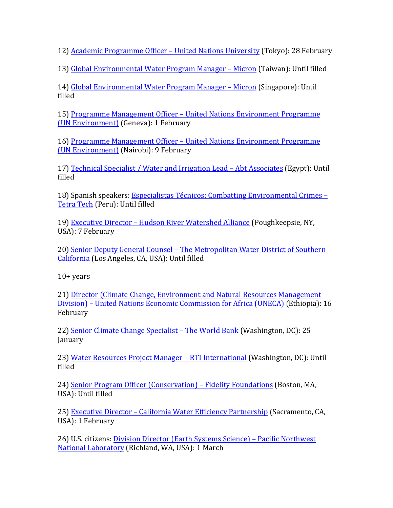12) Academic Programme Officer – United Nations University (Tokyo): 28 February

13) Global Environmental Water Program Manager – Micron (Taiwan): Until filled

14) Global Environmental Water Program Manager – Micron (Singapore): Until filled

15) Programme Management Officer – United Nations Environment Programme (UN Environment) (Geneva): 1 February

16) Programme Management Officer – United Nations Environment Programme (UN Environment) (Nairobi): 9 February

17) Technical Specialist / Water and Irrigation Lead – Abt Associates (Egypt): Until filled

18) Spanish speakers: Especialistas Técnicos: Combatting Environmental Crimes – Tetra Tech (Peru): Until filled

19) Executive Director - Hudson River Watershed Alliance (Poughkeepsie, NY, USA): 7 February

20) Senior Deputy General Counsel – The Metropolitan Water District of Southern California (Los Angeles, CA, USA): Until filled

 $10+$  years

21) Director (Climate Change, Environment and Natural Resources Management Division) – United Nations Economic Commission for Africa (UNECA) (Ethiopia): 16 February

22) Senior Climate Change Specialist – The World Bank (Washington, DC): 25 January

23) Water Resources Project Manager – RTI International (Washington, DC): Until filled

24) Senior Program Officer (Conservation) – Fidelity Foundations (Boston, MA, USA): Until filled

25) Executive Director - California Water Efficiency Partnership (Sacramento, CA, USA): 1 February

26) U.S. citizens: Division Director (Earth Systems Science) – Pacific Northwest National Laboratory (Richland, WA, USA): 1 March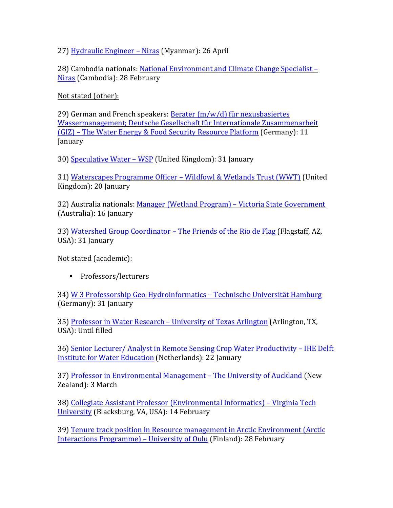27) Hydraulic Engineer – Niras (Myanmar): 26 April

28) Cambodia nationals: National Environment and Climate Change Specialist – Niras (Cambodia): 28 February

Not stated (other):

29) German and French speakers: Berater  $(m/w/d)$  für nexusbasiertes Wassermanagement; Deutsche Gesellschaft für Internationale Zusammenarbeit (GIZ) – The Water Energy & Food Security Resource Platform (Germany): 11 January

30) Speculative Water - WSP (United Kingdom): 31 January

31) Waterscapes Programme Officer – Wildfowl & Wetlands Trust (WWT) (United Kingdom): 20 January

32) Australia nationals: Manager (Wetland Program) – Victoria State Government (Australia): 16 January

33) Watershed Group Coordinator – The Friends of the Rio de Flag (Flagstaff, AZ, USA): 31 January

Not stated (academic):

■ Professors/lecturers

34) W 3 Professorship Geo-Hydroinformatics – Technische Universität Hamburg (Germany): 31 January

35) Professor in Water Research – University of Texas Arlington (Arlington, TX, USA): Until filled

36) Senior Lecturer/ Analyst in Remote Sensing Crop Water Productivity – IHE Delft Institute for Water Education (Netherlands): 22 January

37) Professor in Environmental Management - The University of Auckland (New Zealand): 3 March

38) Collegiate Assistant Professor (Environmental Informatics) – Virginia Tech University (Blacksburg, VA, USA): 14 February

39) Tenure track position in Resource management in Arctic Environment (Arctic Interactions Programme) – University of Oulu (Finland): 28 February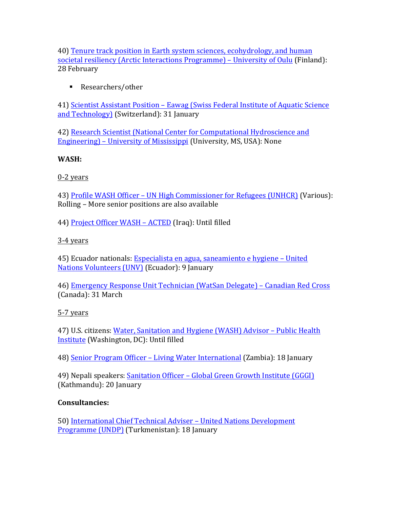40) Tenure track position in Earth system sciences, ecohydrology, and human societal resiliency (Arctic Interactions Programme) – University of Oulu (Finland): 28 February

■ Researchers/other

41) Scientist Assistant Position – Eawag (Swiss Federal Institute of Aquatic Science and Technology) (Switzerland): 31 January

42) Research Scientist (National Center for Computational Hydroscience and Engineering) – University of Mississippi (University, MS, USA): None

# **WASH:**

# 0-2 years

43) Profile WASH Officer – UN High Commissioner for Refugees (UNHCR) (Various): Rolling – More senior positions are also available

44) Project Officer WASH - ACTED (Iraq): Until filled

# $3-4$  years

45) Ecuador nationals: Especialista en agua, saneamiento e hygiene – United Nations Volunteers (UNV) (Ecuador): 9 January

46) Emergency Response Unit Technician (WatSan Delegate) – Canadian Red Cross (Canada): 31 March

# 5-7 years

47) U.S. citizens: Water, Sanitation and Hygiene (WASH) Advisor - Public Health Institute (Washington, DC): Until filled

48) Senior Program Officer – Living Water International (Zambia): 18 January

49) Nepali speakers: Sanitation Officer – Global Green Growth Institute (GGGI) (Kathmandu): 20 January

# **Consultancies:**

50) International Chief Technical Adviser - United Nations Development Programme (UNDP) (Turkmenistan): 18 January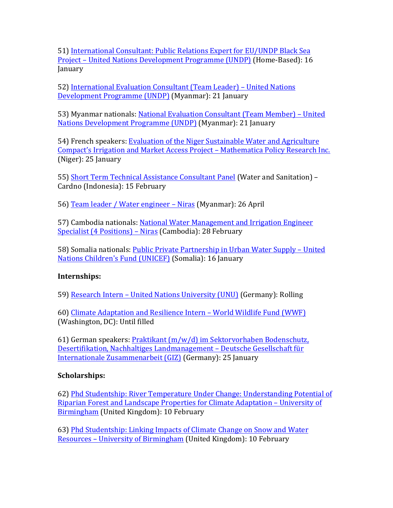51) International Consultant: Public Relations Expert for EU/UNDP Black Sea Project – United Nations Development Programme (UNDP) (Home-Based): 16 January

52) International Evaluation Consultant (Team Leader) - United Nations Development Programme (UNDP) (Myanmar): 21 January

53) Myanmar nationals: National Evaluation Consultant (Team Member) – United Nations Development Programme (UNDP) (Myanmar): 21 January

54) French speakers: Evaluation of the Niger Sustainable Water and Agriculture Compact's Irrigation and Market Access Project - Mathematica Policy Research Inc. (Niger): 25 January

55) Short Term Technical Assistance Consultant Panel (Water and Sanitation) -Cardno (Indonesia): 15 February

56) Team leader / Water engineer – Niras (Myanmar): 26 April

57) Cambodia nationals: National Water Management and Irrigation Engineer Specialist (4 Positions) – Niras (Cambodia): 28 February

58) Somalia nationals: Public Private Partnership in Urban Water Supply – United Nations Children's Fund (UNICEF) (Somalia): 16 January

# **Internships:**

59) Research Intern – United Nations University (UNU) (Germany): Rolling

60) Climate Adaptation and Resilience Intern – World Wildlife Fund (WWF) (Washington, DC): Until filled

61) German speakers: Praktikant  $(m/w/d)$  im Sektorvorhaben Bodenschutz, Desertifikation, Nachhaltiges Landmanagement - Deutsche Gesellschaft für Internationale Zusammenarbeit (GIZ) (Germany): 25 January

#### **Scholarships:**

62) Phd Studentship: River Temperature Under Change: Understanding Potential of Riparian Forest and Landscape Properties for Climate Adaptation – University of Birmingham (United Kingdom): 10 February

63) Phd Studentship: Linking Impacts of Climate Change on Snow and Water Resources – University of Birmingham (United Kingdom): 10 February